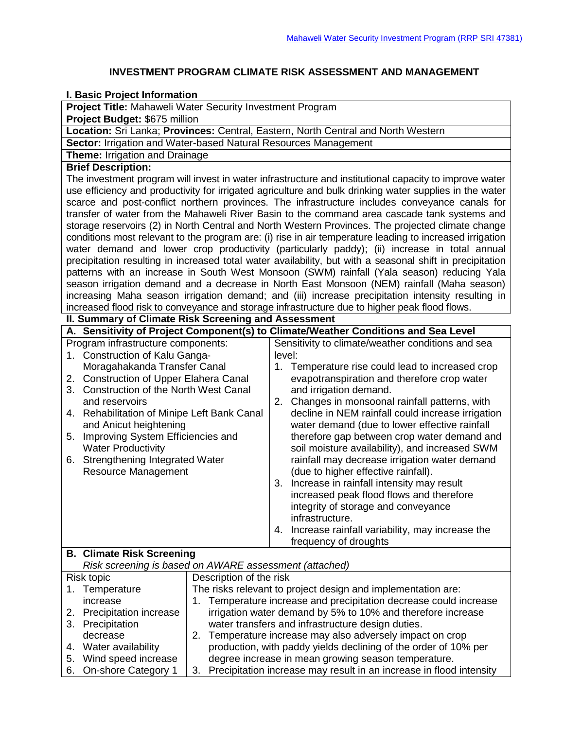## **INVESTMENT PROGRAM CLIMATE RISK ASSESSMENT AND MANAGEMENT**

## **I. Basic Project Information**

|  |  |  |  |  | <b>Project Title: Mahaweli Water Security Investment Program</b> |  |
|--|--|--|--|--|------------------------------------------------------------------|--|
|--|--|--|--|--|------------------------------------------------------------------|--|

**Project Budget:** \$675 million

**Location:** Sri Lanka; **Provinces:** Central, Eastern, North Central and North Western

**Sector:** Irrigation and Water-based Natural Resources Management

**Theme:** Irrigation and Drainage

## **Brief Description:**

The investment program will invest in water infrastructure and institutional capacity to improve water use efficiency and productivity for irrigated agriculture and bulk drinking water supplies in the water scarce and post-conflict northern provinces. The infrastructure includes conveyance canals for transfer of water from the Mahaweli River Basin to the command area cascade tank systems and storage reservoirs (2) in North Central and North Western Provinces. The projected climate change conditions most relevant to the program are: (i) rise in air temperature leading to increased irrigation water demand and lower crop productivity (particularly paddy); (ii) increase in total annual precipitation resulting in increased total water availability, but with a seasonal shift in precipitation patterns with an increase in South West Monsoon (SWM) rainfall (Yala season) reducing Yala season irrigation demand and a decrease in North East Monsoon (NEM) rainfall (Maha season) increasing Maha season irrigation demand; and (iii) increase precipitation intensity resulting in increased flood risk to conveyance and storage infrastructure due to higher peak flood flows.

**II. Summary of Climate Risk Screening and Assessment A. Sensitivity of Project Component(s) to Climate/Weather Conditions and Sea Level** Program infrastructure components: 1. Construction of Kalu Ganga-Moragahakanda Transfer Canal 2. Construction of Upper Elahera Canal 3. Construction of the North West Canal and reservoirs 4. Rehabilitation of Minipe Left Bank Canal and Anicut heightening 5. Improving System Efficiencies and Water Productivity 6. Strengthening Integrated Water Resource Management Sensitivity to climate/weather conditions and sea level: 1. Temperature rise could lead to increased crop evapotranspiration and therefore crop water and irrigation demand. 2. Changes in monsoonal rainfall patterns, with decline in NEM rainfall could increase irrigation water demand (due to lower effective rainfall therefore gap between crop water demand and soil moisture availability), and increased SWM rainfall may decrease irrigation water demand (due to higher effective rainfall). 3. Increase in rainfall intensity may result increased peak flood flows and therefore integrity of storage and conveyance infrastructure. 4. Increase rainfall variability, may increase the frequency of droughts

## **B. Climate Risk Screening**

*Risk screening is based on AWARE assessment (attached)* Risk topic Description of the risk

| <b>INISK LUPIL</b>        |                                                              | <b>DESCRIPTION OF THE HISK</b>                                    |
|---------------------------|--------------------------------------------------------------|-------------------------------------------------------------------|
| 1. Temperature            | The risks relevant to project design and implementation are: |                                                                   |
| increase                  |                                                              | 1. Temperature increase and precipitation decrease could increase |
| 2. Precipitation increase |                                                              | irrigation water demand by 5% to 10% and therefore increase       |
| 3. Precipitation          |                                                              | water transfers and infrastructure design duties.                 |
| decrease                  | 2.                                                           | Temperature increase may also adversely impact on crop            |
| 4. Water availability     |                                                              | production, with paddy yields declining of the order of 10% per   |
| 5. Wind speed increase    |                                                              | degree increase in mean growing season temperature.               |

6. On-shore Category 1 3. Precipitation increase may result in an increase in flood intensity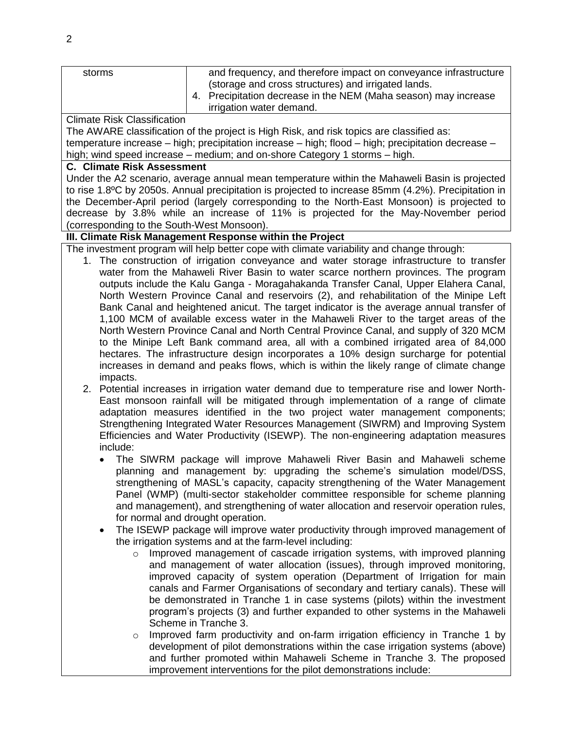| storms                                                                                                                                                                                                                                                                                                                                                                                                                                                                                                                                                                                                                                                                                                                                                                                                                                                                                                                                                                                                                                                                                                                                                                                                                                                                                                                                                                                                                 | and frequency, and therefore impact on conveyance infrastructure<br>(storage and cross structures) and irrigated lands.<br>4. Precipitation decrease in the NEM (Maha season) may increase<br>irrigation water demand.                                                                                                                                                                                                                                                                                                                                                                                                                                                                                                                                                                                                                                                                                                                                                                                               |  |  |  |  |  |
|------------------------------------------------------------------------------------------------------------------------------------------------------------------------------------------------------------------------------------------------------------------------------------------------------------------------------------------------------------------------------------------------------------------------------------------------------------------------------------------------------------------------------------------------------------------------------------------------------------------------------------------------------------------------------------------------------------------------------------------------------------------------------------------------------------------------------------------------------------------------------------------------------------------------------------------------------------------------------------------------------------------------------------------------------------------------------------------------------------------------------------------------------------------------------------------------------------------------------------------------------------------------------------------------------------------------------------------------------------------------------------------------------------------------|----------------------------------------------------------------------------------------------------------------------------------------------------------------------------------------------------------------------------------------------------------------------------------------------------------------------------------------------------------------------------------------------------------------------------------------------------------------------------------------------------------------------------------------------------------------------------------------------------------------------------------------------------------------------------------------------------------------------------------------------------------------------------------------------------------------------------------------------------------------------------------------------------------------------------------------------------------------------------------------------------------------------|--|--|--|--|--|
| <b>Climate Risk Classification</b><br>The AWARE classification of the project is High Risk, and risk topics are classified as:<br>temperature increase - high; precipitation increase - high; flood - high; precipitation decrease -<br>high; wind speed increase – medium; and on-shore Category 1 storms – high.                                                                                                                                                                                                                                                                                                                                                                                                                                                                                                                                                                                                                                                                                                                                                                                                                                                                                                                                                                                                                                                                                                     |                                                                                                                                                                                                                                                                                                                                                                                                                                                                                                                                                                                                                                                                                                                                                                                                                                                                                                                                                                                                                      |  |  |  |  |  |
| <b>C. Climate Risk Assessment</b><br>Under the A2 scenario, average annual mean temperature within the Mahaweli Basin is projected<br>to rise 1.8°C by 2050s. Annual precipitation is projected to increase 85mm (4.2%). Precipitation in<br>the December-April period (largely corresponding to the North-East Monsoon) is projected to<br>decrease by 3.8% while an increase of 11% is projected for the May-November period<br>(corresponding to the South-West Monsoon).                                                                                                                                                                                                                                                                                                                                                                                                                                                                                                                                                                                                                                                                                                                                                                                                                                                                                                                                           |                                                                                                                                                                                                                                                                                                                                                                                                                                                                                                                                                                                                                                                                                                                                                                                                                                                                                                                                                                                                                      |  |  |  |  |  |
| III. Climate Risk Management Response within the Project                                                                                                                                                                                                                                                                                                                                                                                                                                                                                                                                                                                                                                                                                                                                                                                                                                                                                                                                                                                                                                                                                                                                                                                                                                                                                                                                                               |                                                                                                                                                                                                                                                                                                                                                                                                                                                                                                                                                                                                                                                                                                                                                                                                                                                                                                                                                                                                                      |  |  |  |  |  |
| impacts.                                                                                                                                                                                                                                                                                                                                                                                                                                                                                                                                                                                                                                                                                                                                                                                                                                                                                                                                                                                                                                                                                                                                                                                                                                                                                                                                                                                                               | The investment program will help better cope with climate variability and change through:<br>1. The construction of irrigation conveyance and water storage infrastructure to transfer<br>water from the Mahaweli River Basin to water scarce northern provinces. The program<br>outputs include the Kalu Ganga - Moragahakanda Transfer Canal, Upper Elahera Canal,<br>North Western Province Canal and reservoirs (2), and rehabilitation of the Minipe Left<br>Bank Canal and heightened anicut. The target indicator is the average annual transfer of<br>1,100 MCM of available excess water in the Mahaweli River to the target areas of the<br>North Western Province Canal and North Central Province Canal, and supply of 320 MCM<br>to the Minipe Left Bank command area, all with a combined irrigated area of 84,000<br>hectares. The infrastructure design incorporates a 10% design surcharge for potential<br>increases in demand and peaks flows, which is within the likely range of climate change |  |  |  |  |  |
| 2. Potential increases in irrigation water demand due to temperature rise and lower North-<br>East monsoon rainfall will be mitigated through implementation of a range of climate<br>adaptation measures identified in the two project water management components;<br>Strengthening Integrated Water Resources Management (SIWRM) and Improving System<br>Efficiencies and Water Productivity (ISEWP). The non-engineering adaptation measures<br>include:<br>The SIWRM package will improve Mahaweli River Basin and Mahaweli scheme<br>planning and management by: upgrading the scheme's simulation model/DSS,<br>strengthening of MASL's capacity, capacity strengthening of the Water Management<br>Panel (WMP) (multi-sector stakeholder committee responsible for scheme planning<br>and management), and strengthening of water allocation and reservoir operation rules,<br>for normal and drought operation.<br>The ISEWP package will improve water productivity through improved management of<br>$\bullet$<br>the irrigation systems and at the farm-level including:<br>Improved management of cascade irrigation systems, with improved planning<br>$\circ$<br>and management of water allocation (issues), through improved monitoring,<br>improved capacity of system operation (Department of Irrigation for main<br>canals and Farmer Organisations of secondary and tertiary canals). These will |                                                                                                                                                                                                                                                                                                                                                                                                                                                                                                                                                                                                                                                                                                                                                                                                                                                                                                                                                                                                                      |  |  |  |  |  |
| $\circ$                                                                                                                                                                                                                                                                                                                                                                                                                                                                                                                                                                                                                                                                                                                                                                                                                                                                                                                                                                                                                                                                                                                                                                                                                                                                                                                                                                                                                | be demonstrated in Tranche 1 in case systems (pilots) within the investment<br>program's projects (3) and further expanded to other systems in the Mahaweli<br>Scheme in Tranche 3.<br>Improved farm productivity and on-farm irrigation efficiency in Tranche 1 by<br>development of pilot demonstrations within the case irrigation systems (above)<br>and further promoted within Mahaweli Scheme in Tranche 3. The proposed<br>improvement interventions for the pilot demonstrations include:                                                                                                                                                                                                                                                                                                                                                                                                                                                                                                                   |  |  |  |  |  |